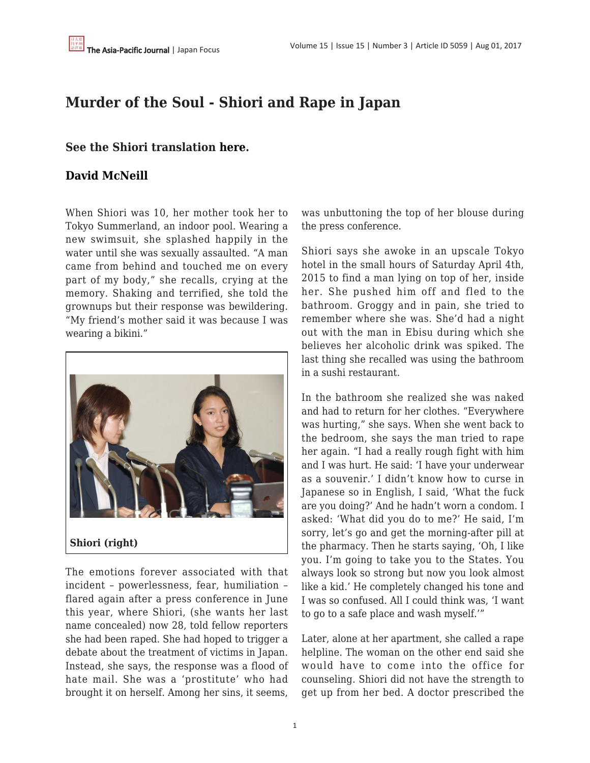## **Murder of the Soul - Shiori and Rape in Japan**

### **See the Shiori translation [here](https://tkatsumi06j.tumblr.com/post/163821661316/レイプは魂の殺人です詩織さん心境を語る-完全訳版-japan-focus).**

### **[David McNeill](https://apjjf.org/authors/view/8469)**

When Shiori was 10, her mother took her to Tokyo Summerland, an indoor pool. Wearing a new swimsuit, she splashed happily in the water until she was sexually assaulted. "A man came from behind and touched me on every part of my body," she recalls, crying at the memory. Shaking and terrified, she told the grownups but their response was bewildering. "My friend's mother said it was because I was wearing a bikini."



The emotions forever associated with that incident – powerlessness, fear, humiliation – flared again after a press conference in June this year, where Shiori, (she wants her last name concealed) now 28, told fellow reporters she had been raped. She had hoped to trigger a debate about the treatment of victims in Japan. Instead, she says, the response was a flood of hate mail. She was a 'prostitute' who had brought it on herself. Among her sins, it seems, was unbuttoning the top of her blouse during the press conference.

Shiori says she awoke in an upscale Tokyo hotel in the small hours of Saturday April 4th, 2015 to find a man lying on top of her, inside her. She pushed him off and fled to the bathroom. Groggy and in pain, she tried to remember where she was. She'd had a night out with the man in Ebisu during which she believes her alcoholic drink was spiked. The last thing she recalled was using the bathroom in a sushi restaurant.

In the bathroom she realized she was naked and had to return for her clothes. "Everywhere was hurting," she says. When she went back to the bedroom, she says the man tried to rape her again. "I had a really rough fight with him and I was hurt. He said: 'I have your underwear as a souvenir.' I didn't know how to curse in Japanese so in English, I said, 'What the fuck are you doing?' And he hadn't worn a condom. I asked: 'What did you do to me?' He said, I'm sorry, let's go and get the morning-after pill at the pharmacy. Then he starts saying, 'Oh, I like you. I'm going to take you to the States. You always look so strong but now you look almost like a kid.' He completely changed his tone and I was so confused. All I could think was, 'I want to go to a safe place and wash myself.'"

Later, alone at her apartment, she called a rape helpline. The woman on the other end said she would have to come into the office for counseling. Shiori did not have the strength to get up from her bed. A doctor prescribed the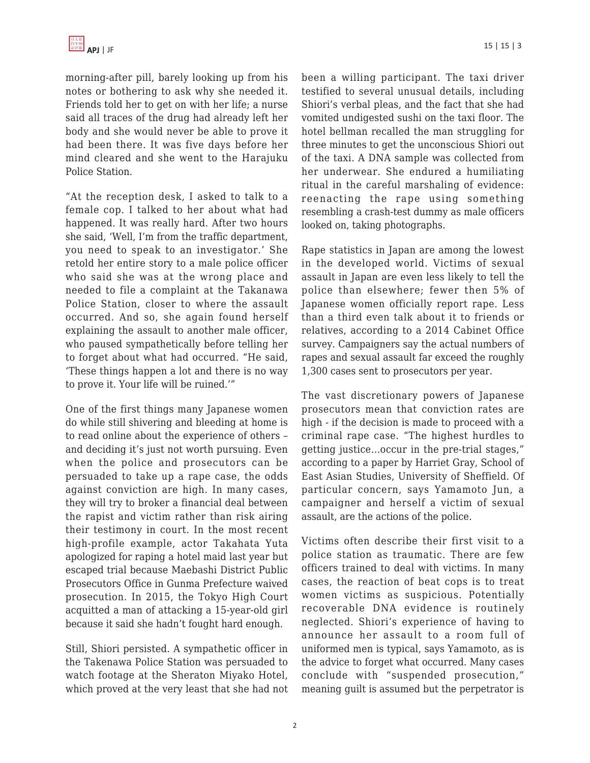morning-after pill, barely looking up from his notes or bothering to ask why she needed it. Friends told her to get on with her life; a nurse said all traces of the drug had already left her body and she would never be able to prove it had been there. It was five days before her mind cleared and she went to the Harajuku Police Station.

"At the reception desk, I asked to talk to a female cop. I talked to her about what had happened. It was really hard. After two hours she said, 'Well, I'm from the traffic department, you need to speak to an investigator.' She retold her entire story to a male police officer who said she was at the wrong place and needed to file a complaint at the Takanawa Police Station, closer to where the assault occurred. And so, she again found herself explaining the assault to another male officer, who paused sympathetically before telling her to forget about what had occurred. "He said, 'These things happen a lot and there is no way to prove it. Your life will be ruined.'"

One of the first things many Japanese women do while still shivering and bleeding at home is to read online about the experience of others – and deciding it's just not worth pursuing. Even when the police and prosecutors can be persuaded to take up a rape case, the odds against conviction are high. In many cases, they will try to broker a financial deal between the rapist and victim rather than risk airing their testimony in court. In the most recent high-profile example, actor Takahata Yuta apologized for raping a hotel maid last year but escaped trial because Maebashi District Public Prosecutors Office in Gunma Prefecture waived prosecution. In 2015, the Tokyo High Court acquitted a man of attacking a 15-year-old girl because it said she hadn't fought hard enough.

Still, Shiori persisted. A sympathetic officer in the Takenawa Police Station was persuaded to watch footage at the Sheraton Miyako Hotel, which proved at the very least that she had not been a willing participant. The taxi driver testified to several unusual details, including Shiori's verbal pleas, and the fact that she had vomited undigested sushi on the taxi floor. The hotel bellman recalled the man struggling for three minutes to get the unconscious Shiori out of the taxi. A DNA sample was collected from her underwear. She endured a humiliating ritual in the careful marshaling of evidence: reenacting the rape using something resembling a crash-test dummy as male officers looked on, taking photographs.

Rape statistics in Japan are among the lowest in the developed world. Victims of sexual assault in Japan are even less likely to tell the police than elsewhere; fewer then 5% of Japanese women officially report rape. Less than a third even talk about it to friends or relatives, according to a 2014 Cabinet Office survey. Campaigners say the actual numbers of rapes and sexual assault far exceed the roughly 1,300 cases sent to prosecutors per year.

The vast discretionary powers of Japanese prosecutors mean that conviction rates are high - if the decision is made to proceed with a criminal rape case. "The highest hurdles to getting justice…occur in the pre-trial stages," according to a paper by Harriet Gray, School of East Asian Studies, University of Sheffield. Of particular concern, says Yamamoto Jun, a campaigner and herself a victim of sexual assault, are the actions of the police.

Victims often describe their first visit to a police station as traumatic. There are few officers trained to deal with victims. In many cases, the reaction of beat cops is to treat women victims as suspicious. Potentially recoverable DNA evidence is routinely neglected. Shiori's experience of having to announce her assault to a room full of uniformed men is typical, says Yamamoto, as is the advice to forget what occurred. Many cases conclude with "suspended prosecution," meaning guilt is assumed but the perpetrator is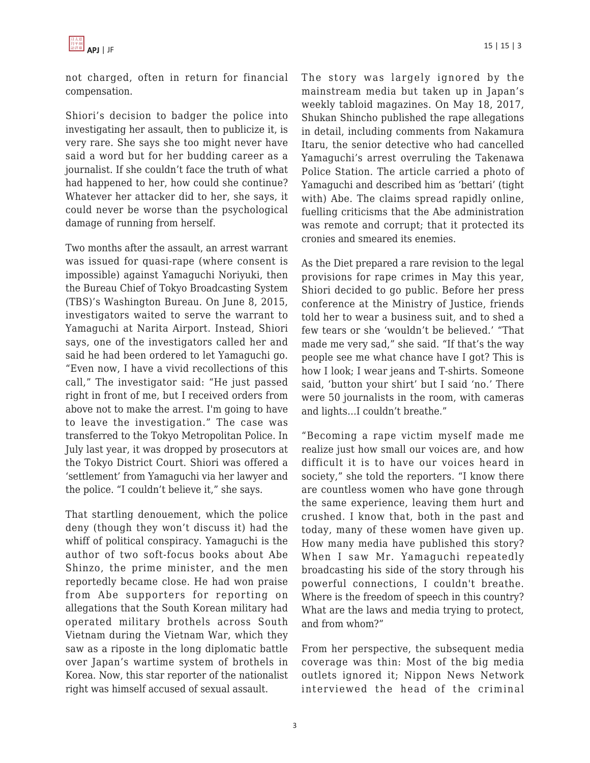

not charged, often in return for financial compensation.

Shiori's decision to badger the police into investigating her assault, then to publicize it, is very rare. She says she too might never have said a word but for her budding career as a journalist. If she couldn't face the truth of what had happened to her, how could she continue? Whatever her attacker did to her, she says, it could never be worse than the psychological damage of running from herself.

Two months after the assault, an arrest warrant was issued for quasi-rape (where consent is impossible) against Yamaguchi Noriyuki, then the Bureau Chief of Tokyo Broadcasting System (TBS)'s Washington Bureau. On June 8, 2015, investigators waited to serve the warrant to Yamaguchi at Narita Airport. Instead, Shiori says, one of the investigators called her and said he had been ordered to let Yamaguchi go. "Even now, I have a vivid recollections of this call," The investigator said: "He just passed right in front of me, but I received orders from above not to make the arrest. I'm going to have to leave the investigation." The case was transferred to the Tokyo Metropolitan Police. In July last year, it was dropped by prosecutors at the Tokyo District Court. Shiori was offered a 'settlement' from Yamaguchi via her lawyer and the police. "I couldn't believe it," she says.

That startling denouement, which the police deny (though they won't discuss it) had the whiff of political conspiracy. Yamaguchi is the author of two soft-focus books about Abe Shinzo, the prime minister, and the men reportedly became close. He had won praise from Abe supporters for reporting on allegations that the South Korean military had operated military brothels across South Vietnam during the Vietnam War, which they saw as a riposte in the long diplomatic battle over Japan's wartime system of brothels in Korea. Now, this star reporter of the nationalist right was himself accused of sexual assault.

The story was largely ignored by the mainstream media but taken up in Japan's weekly tabloid magazines. On May 18, 2017, Shukan Shincho published the rape allegations in detail, including comments from Nakamura Itaru, the senior detective who had cancelled Yamaguchi's arrest overruling the Takenawa Police Station. The article carried a photo of Yamaguchi and described him as 'bettari' (tight with) Abe. The claims spread rapidly online, fuelling criticisms that the Abe administration was remote and corrupt; that it protected its cronies and smeared its enemies.

As the Diet prepared a rare revision to the legal provisions for rape crimes in May this year, Shiori decided to go public. Before her press conference at the Ministry of Justice, friends told her to wear a business suit, and to shed a few tears or she 'wouldn't be believed.' "That made me very sad," she said. "If that's the way people see me what chance have I got? This is how I look; I wear jeans and T-shirts. Someone said, 'button your shirt' but I said 'no.' There were 50 journalists in the room, with cameras and lights…I couldn't breathe."

"Becoming a rape victim myself made me realize just how small our voices are, and how difficult it is to have our voices heard in society," she told the reporters. "I know there are countless women who have gone through the same experience, leaving them hurt and crushed. I know that, both in the past and today, many of these women have given up. How many media have published this story? When I saw Mr. Yamaguchi repeatedly broadcasting his side of the story through his powerful connections, I couldn't breathe. Where is the freedom of speech in this country? What are the laws and media trying to protect, and from whom?"

From her perspective, the subsequent media coverage was thin: Most of the big media outlets ignored it; Nippon News Network interviewed the head of the criminal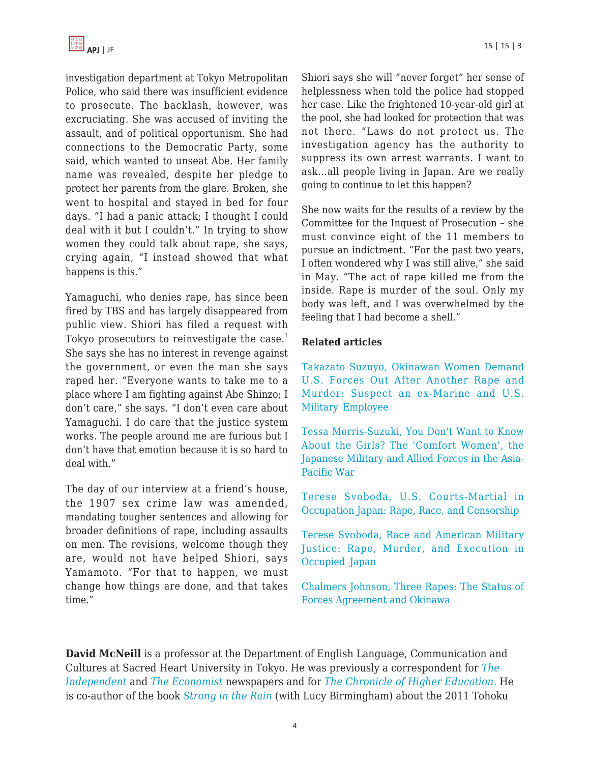investigation department at Tokyo Metropolitan Police, who said there was insufficient evidence to prosecute. The backlash, however, was excruciating. She was accused of inviting the assault, and of political opportunism. She had connections to the Democratic Party, some said, which wanted to unseat Abe. Her family name was revealed, despite her pledge to protect her parents from the glare. Broken, she went to hospital and stayed in bed for four days. "I had a panic attack; I thought I could deal with it but I couldn't." In trying to show women they could talk about rape, she says, crying again, "I instead showed that what happens is this."

Yamaguchi, who denies rape, has since been fired by TBS and has largely disappeared from public view. Shiori has filed a request with Tokyo prosecutors to reinvestigate the case.<sup>1</sup> She says she has no interest in revenge against the government, or even the man she says raped her. "Everyone wants to take me to a place where I am fighting against Abe Shinzo; I don't care," she says. "I don't even care about Yamaguchi. I do care that the justice system works. The people around me are furious but I don't have that emotion because it is so hard to deal with."

The day of our interview at a friend's house, the 1907 sex crime law was amended, mandating tougher sentences and allowing for broader definitions of rape, including assaults on men. The revisions, welcome though they are, would not have helped Shiori, says Yamamoto. "For that to happen, we must change how things are done, and that takes time."

Shiori says she will "never forget" her sense of helplessness when told the police had stopped her case. Like the frightened 10-year-old girl at the pool, she had looked for protection that was not there. "Laws do not protect us. The investigation agency has the authority to suppress its own arrest warrants. I want to ask…all people living in Japan. Are we really going to continue to let this happen?

She now waits for the results of a review by the Committee for the Inquest of Prosecution – she must convince eight of the 11 members to pursue an indictment. "For the past two years, I often wondered why I was still alive," she said in May. "The act of rape killed me from the inside. Rape is murder of the soul. Only my body was left, and I was overwhelmed by the feeling that I had become a shell."

#### **Related articles**

[Takazato Suzuyo, Okinawan Women Demand](https://apjjf.org/2016/11/Takazato.html) [U.S. Forces Out After Another Rape and](https://apjjf.org/2016/11/Takazato.html) [Murder: Suspect an ex-Marine and U.S.](https://apjjf.org/2016/11/Takazato.html) [Military Employee](https://apjjf.org/2016/11/Takazato.html)

[Tessa Morris-Suzuki, You Don't Want to Know](https://apjjf.org/2015/13/31/Tessa-Morris-Suzuki/4352.html) [About the Girls? The 'Comfort Women', the](https://apjjf.org/2015/13/31/Tessa-Morris-Suzuki/4352.html) [Japanese Military and Allied Forces in the Asia-](https://apjjf.org/2015/13/31/Tessa-Morris-Suzuki/4352.html)[Pacific War](https://apjjf.org/2015/13/31/Tessa-Morris-Suzuki/4352.html)

[Terese Svoboda, U.S. Courts-Martial in](https://apjjf.org/-Terese-Svoboda/3148/article.html) [Occupation Japan: Rape, Race, and Censorship](https://apjjf.org/-Terese-Svoboda/3148/article.html)

[Terese Svoboda, Race and American Military](https://apjjf.org/-Terese-Svoboda/2737/article.html) [Justice: Rape, Murder, and Execution in](https://apjjf.org/-Terese-Svoboda/2737/article.html) [Occupied Japan](https://apjjf.org/-Terese-Svoboda/2737/article.html)

[Chalmers Johnson, Three Rapes: The Status of](https://apjjf.org/-Chalmers-Johnson/2021/article.html) [Forces Agreement and Okinawa](https://apjjf.org/-Chalmers-Johnson/2021/article.html)

**David McNeill** is a professor at the Department of English Language, Communication and Cultures at Sacred Heart University in Tokyo. He was previously a correspondent for *[The](http://www.independent.co.uk/) [Independent](http://www.independent.co.uk/)* and *[The Economist](http://www.economist.com/)* newspapers and for *[The Chronicle of Higher Education](https://apjjf.org/admin/staff_manage/details/chronice.com)*[.](https://apjjf.org/admin/staff_manage/details/chronice.com) He is co-author of the book *[Strong in the Rain](http://amzn.com/0230341861/?tag=theasipacjo0b-20)* (with Lucy Birmingham) about the 2011 Tohoku